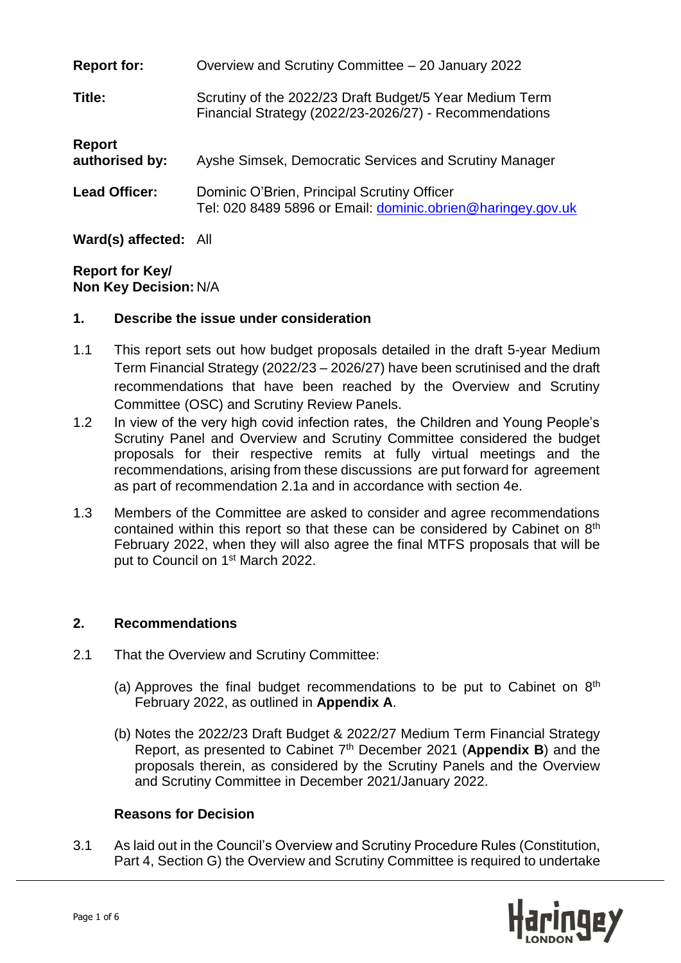| <b>Report for:</b>       | Overview and Scrutiny Committee – 20 January 2022                                                                 |  |
|--------------------------|-------------------------------------------------------------------------------------------------------------------|--|
| Title:                   | Scrutiny of the 2022/23 Draft Budget/5 Year Medium Term<br>Financial Strategy (2022/23-2026/27) - Recommendations |  |
| Report<br>authorised by: | Ayshe Simsek, Democratic Services and Scrutiny Manager                                                            |  |
| <b>Lead Officer:</b>     | Dominic O'Brien, Principal Scrutiny Officer<br>Tel: 020 8489 5896 or Email: dominic.obrien@haringey.gov.uk        |  |
| Ward(s) affected: All    |                                                                                                                   |  |

**Report for Key/**

**Non Key Decision:** N/A

### **1. Describe the issue under consideration**

- 1.1 This report sets out how budget proposals detailed in the draft 5-year Medium Term Financial Strategy (2022/23 – 2026/27) have been scrutinised and the draft recommendations that have been reached by the Overview and Scrutiny Committee (OSC) and Scrutiny Review Panels.
- 1.2 In view of the very high covid infection rates, the Children and Young People's Scrutiny Panel and Overview and Scrutiny Committee considered the budget proposals for their respective remits at fully virtual meetings and the recommendations, arising from these discussions are put forward for agreement as part of recommendation 2.1a and in accordance with section 4e.
- 1.3 Members of the Committee are asked to consider and agree recommendations contained within this report so that these can be considered by Cabinet on  $8<sup>th</sup>$ February 2022, when they will also agree the final MTFS proposals that will be put to Council on 1<sup>st</sup> March 2022.

### **2. Recommendations**

- 2.1 That the Overview and Scrutiny Committee:
	- (a) Approves the final budget recommendations to be put to Cabinet on  $8<sup>th</sup>$ February 2022, as outlined in **Appendix A**.
	- (b) Notes the 2022/23 Draft Budget & 2022/27 Medium Term Financial Strategy Report, as presented to Cabinet 7 th December 2021 (**Appendix B**) and the proposals therein, as considered by the Scrutiny Panels and the Overview and Scrutiny Committee in December 2021/January 2022.

#### **Reasons for Decision**

3.1 As laid out in the Council's Overview and Scrutiny Procedure Rules (Constitution, Part 4, Section G) the Overview and Scrutiny Committee is required to undertake

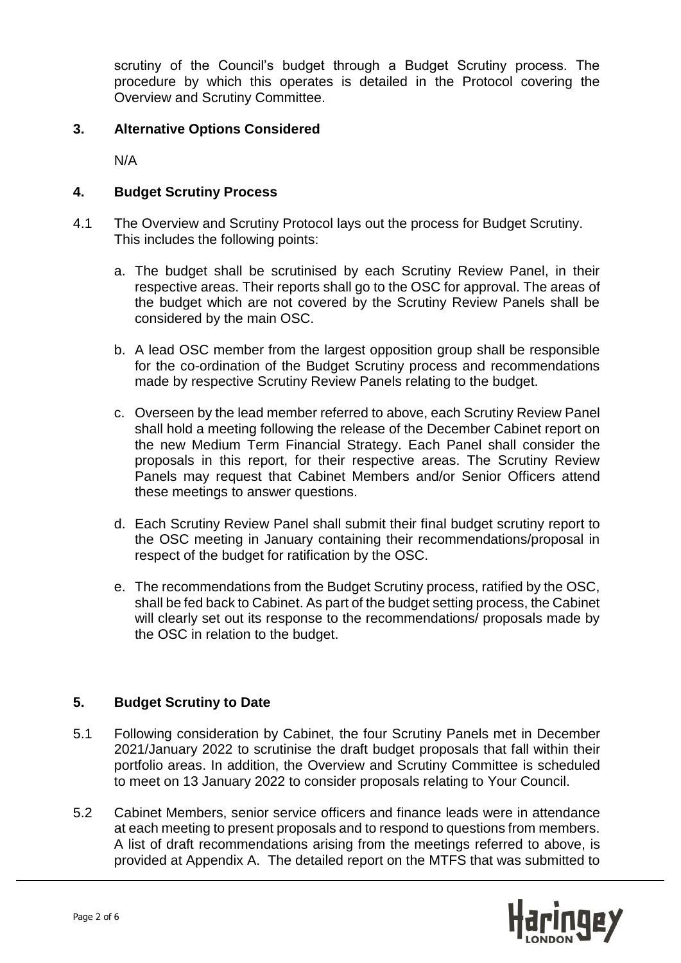scrutiny of the Council's budget through a Budget Scrutiny process. The procedure by which this operates is detailed in the Protocol covering the Overview and Scrutiny Committee.

### **3. Alternative Options Considered**

N/A

### **4. Budget Scrutiny Process**

- 4.1 The Overview and Scrutiny Protocol lays out the process for Budget Scrutiny. This includes the following points:
	- a. The budget shall be scrutinised by each Scrutiny Review Panel, in their respective areas. Their reports shall go to the OSC for approval. The areas of the budget which are not covered by the Scrutiny Review Panels shall be considered by the main OSC.
	- b. A lead OSC member from the largest opposition group shall be responsible for the co-ordination of the Budget Scrutiny process and recommendations made by respective Scrutiny Review Panels relating to the budget.
	- c. Overseen by the lead member referred to above, each Scrutiny Review Panel shall hold a meeting following the release of the December Cabinet report on the new Medium Term Financial Strategy. Each Panel shall consider the proposals in this report, for their respective areas. The Scrutiny Review Panels may request that Cabinet Members and/or Senior Officers attend these meetings to answer questions.
	- d. Each Scrutiny Review Panel shall submit their final budget scrutiny report to the OSC meeting in January containing their recommendations/proposal in respect of the budget for ratification by the OSC.
	- e. The recommendations from the Budget Scrutiny process, ratified by the OSC, shall be fed back to Cabinet. As part of the budget setting process, the Cabinet will clearly set out its response to the recommendations/ proposals made by the OSC in relation to the budget.

### **5. Budget Scrutiny to Date**

- 5.1 Following consideration by Cabinet, the four Scrutiny Panels met in December 2021/January 2022 to scrutinise the draft budget proposals that fall within their portfolio areas. In addition, the Overview and Scrutiny Committee is scheduled to meet on 13 January 2022 to consider proposals relating to Your Council.
- 5.2 Cabinet Members, senior service officers and finance leads were in attendance at each meeting to present proposals and to respond to questions from members. A list of draft recommendations arising from the meetings referred to above, is provided at Appendix A. The detailed report on the MTFS that was submitted to

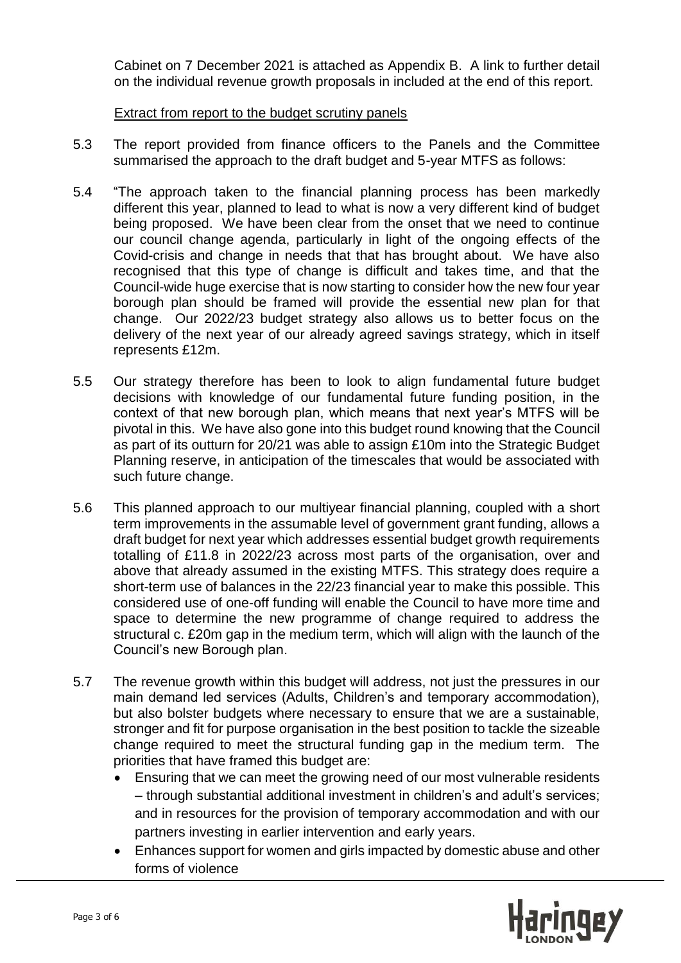Cabinet on 7 December 2021 is attached as Appendix B. A link to further detail on the individual revenue growth proposals in included at the end of this report.

### Extract from report to the budget scrutiny panels

- 5.3 The report provided from finance officers to the Panels and the Committee summarised the approach to the draft budget and 5-year MTFS as follows:
- 5.4 "The approach taken to the financial planning process has been markedly different this year, planned to lead to what is now a very different kind of budget being proposed. We have been clear from the onset that we need to continue our council change agenda, particularly in light of the ongoing effects of the Covid-crisis and change in needs that that has brought about. We have also recognised that this type of change is difficult and takes time, and that the Council-wide huge exercise that is now starting to consider how the new four year borough plan should be framed will provide the essential new plan for that change. Our 2022/23 budget strategy also allows us to better focus on the delivery of the next year of our already agreed savings strategy, which in itself represents £12m.
- 5.5 Our strategy therefore has been to look to align fundamental future budget decisions with knowledge of our fundamental future funding position, in the context of that new borough plan, which means that next year's MTFS will be pivotal in this. We have also gone into this budget round knowing that the Council as part of its outturn for 20/21 was able to assign £10m into the Strategic Budget Planning reserve, in anticipation of the timescales that would be associated with such future change.
- 5.6 This planned approach to our multiyear financial planning, coupled with a short term improvements in the assumable level of government grant funding, allows a draft budget for next year which addresses essential budget growth requirements totalling of £11.8 in 2022/23 across most parts of the organisation, over and above that already assumed in the existing MTFS. This strategy does require a short-term use of balances in the 22/23 financial year to make this possible. This considered use of one-off funding will enable the Council to have more time and space to determine the new programme of change required to address the structural c. £20m gap in the medium term, which will align with the launch of the Council's new Borough plan.
- 5.7 The revenue growth within this budget will address, not just the pressures in our main demand led services (Adults, Children's and temporary accommodation), but also bolster budgets where necessary to ensure that we are a sustainable, stronger and fit for purpose organisation in the best position to tackle the sizeable change required to meet the structural funding gap in the medium term. The priorities that have framed this budget are:
	- Ensuring that we can meet the growing need of our most vulnerable residents – through substantial additional investment in children's and adult's services; and in resources for the provision of temporary accommodation and with our partners investing in earlier intervention and early years.
	- Enhances support for women and girls impacted by domestic abuse and other forms of violence

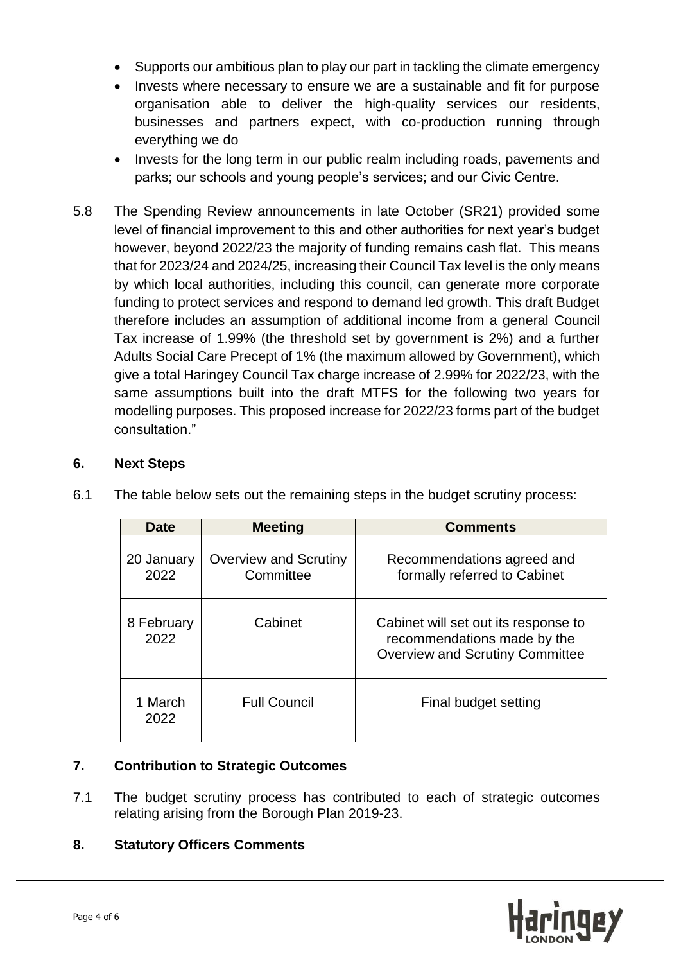- Supports our ambitious plan to play our part in tackling the climate emergency
- Invests where necessary to ensure we are a sustainable and fit for purpose organisation able to deliver the high-quality services our residents, businesses and partners expect, with co-production running through everything we do
- Invests for the long term in our public realm including roads, pavements and parks; our schools and young people's services; and our Civic Centre.
- 5.8 The Spending Review announcements in late October (SR21) provided some level of financial improvement to this and other authorities for next year's budget however, beyond 2022/23 the majority of funding remains cash flat. This means that for 2023/24 and 2024/25, increasing their Council Tax level is the only means by which local authorities, including this council, can generate more corporate funding to protect services and respond to demand led growth. This draft Budget therefore includes an assumption of additional income from a general Council Tax increase of 1.99% (the threshold set by government is 2%) and a further Adults Social Care Precept of 1% (the maximum allowed by Government), which give a total Haringey Council Tax charge increase of 2.99% for 2022/23, with the same assumptions built into the draft MTFS for the following two years for modelling purposes. This proposed increase for 2022/23 forms part of the budget consultation."

## **6. Next Steps**

| <b>Date</b>        | <b>Meeting</b>                     | <b>Comments</b>                                                                                               |
|--------------------|------------------------------------|---------------------------------------------------------------------------------------------------------------|
| 20 January<br>2022 | Overview and Scrutiny<br>Committee | Recommendations agreed and<br>formally referred to Cabinet                                                    |
| 8 February<br>2022 | Cabinet                            | Cabinet will set out its response to<br>recommendations made by the<br><b>Overview and Scrutiny Committee</b> |
| 1 March<br>2022    | <b>Full Council</b>                | Final budget setting                                                                                          |

6.1 The table below sets out the remaining steps in the budget scrutiny process:

# **7. Contribution to Strategic Outcomes**

7.1 The budget scrutiny process has contributed to each of strategic outcomes relating arising from the Borough Plan 2019-23.

# **8. Statutory Officers Comments**

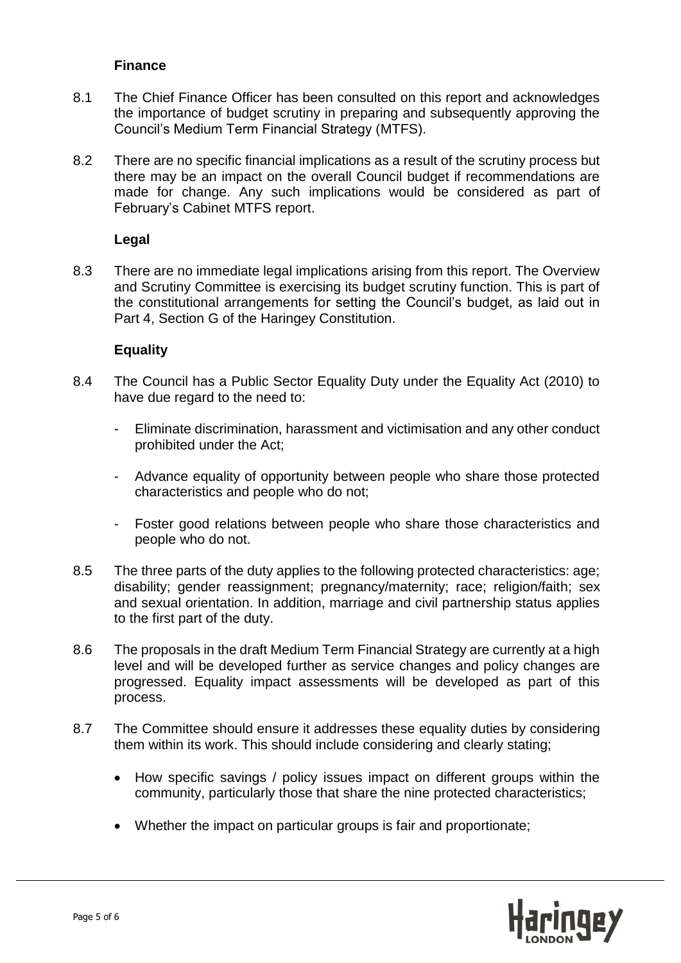### **Finance**

- 8.1 The Chief Finance Officer has been consulted on this report and acknowledges the importance of budget scrutiny in preparing and subsequently approving the Council's Medium Term Financial Strategy (MTFS).
- 8.2 There are no specific financial implications as a result of the scrutiny process but there may be an impact on the overall Council budget if recommendations are made for change. Any such implications would be considered as part of February's Cabinet MTFS report.

### **Legal**

8.3 There are no immediate legal implications arising from this report. The Overview and Scrutiny Committee is exercising its budget scrutiny function. This is part of the constitutional arrangements for setting the Council's budget, as laid out in Part 4, Section G of the Haringey Constitution.

### **Equality**

- 8.4 The Council has a Public Sector Equality Duty under the Equality Act (2010) to have due regard to the need to:
	- Eliminate discrimination, harassment and victimisation and any other conduct prohibited under the Act;
	- Advance equality of opportunity between people who share those protected characteristics and people who do not;
	- Foster good relations between people who share those characteristics and people who do not.
- 8.5 The three parts of the duty applies to the following protected characteristics: age; disability; gender reassignment; pregnancy/maternity; race; religion/faith; sex and sexual orientation. In addition, marriage and civil partnership status applies to the first part of the duty.
- 8.6 The proposals in the draft Medium Term Financial Strategy are currently at a high level and will be developed further as service changes and policy changes are progressed. Equality impact assessments will be developed as part of this process.
- 8.7 The Committee should ensure it addresses these equality duties by considering them within its work. This should include considering and clearly stating;
	- How specific savings / policy issues impact on different groups within the community, particularly those that share the nine protected characteristics;
	- Whether the impact on particular groups is fair and proportionate;